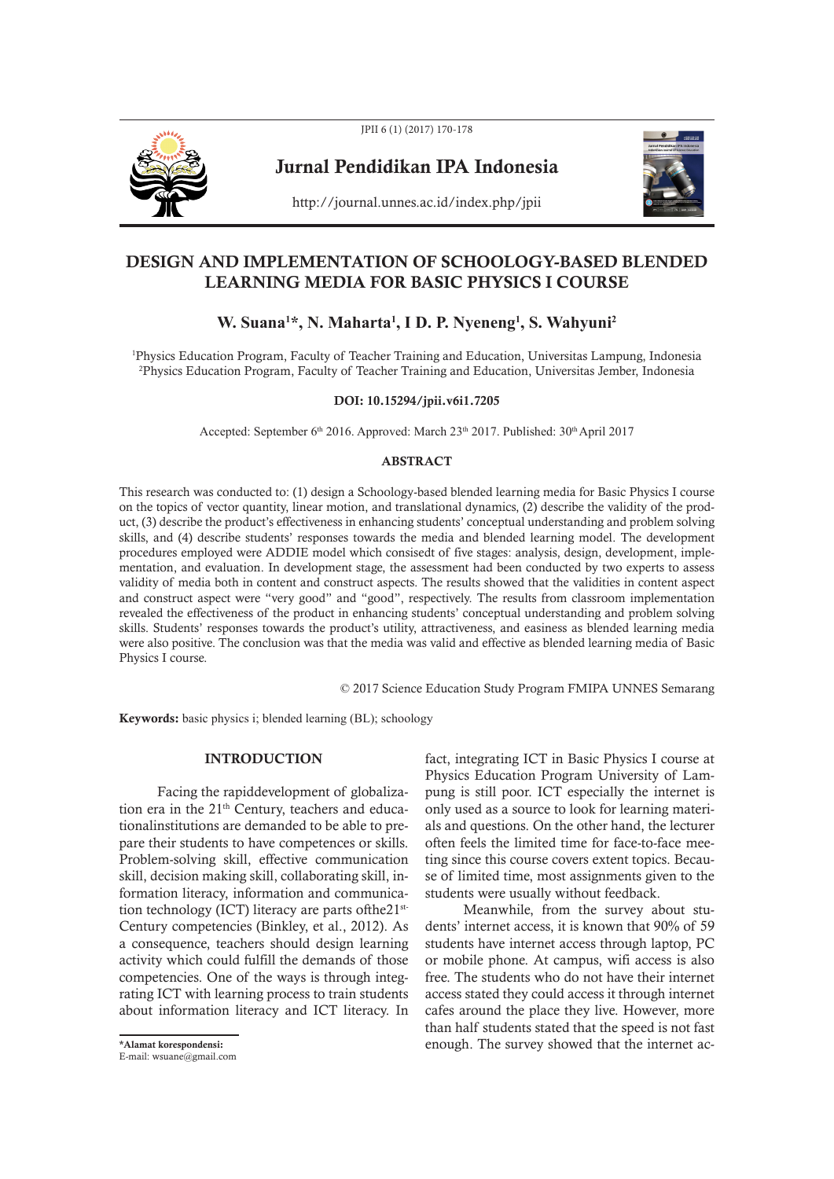

JPII 6 (1) (2017) 170-178

Jurnal Pendidikan IPA Indonesia



http://journal.unnes.ac.id/index.php/jpii

# DESIGN AND IMPLEMENTATION OF SCHOOLOGY-BASED BLENDED LEARNING MEDIA FOR BASIC PHYSICS I COURSE

# **W. Suana1 \*, N. Maharta1 , I D. P. Nyeneng1 , S. Wahyuni2**

1 Physics Education Program, Faculty of Teacher Training and Education, Universitas Lampung, Indonesia 2 Physics Education Program, Faculty of Teacher Training and Education, Universitas Jember, Indonesia

### DOI: 10.15294/jpii.v6i1.7205

Accepted: September 6<sup>th</sup> 2016. Approved: March 23<sup>th</sup> 2017. Published: 30<sup>th</sup> April 2017

## ABSTRACT

This research was conducted to: (1) design a Schoology-based blended learning media for Basic Physics I course on the topics of vector quantity, linear motion, and translational dynamics, (2) describe the validity of the product, (3) describe the product's effectiveness in enhancing students' conceptual understanding and problem solving skills, and (4) describe students' responses towards the media and blended learning model. The development procedures employed were ADDIE model which consisedt of five stages: analysis, design, development, implementation, and evaluation. In development stage, the assessment had been conducted by two experts to assess validity of media both in content and construct aspects. The results showed that the validities in content aspect and construct aspect were "very good" and "good", respectively. The results from classroom implementation revealed the effectiveness of the product in enhancing students' conceptual understanding and problem solving skills. Students' responses towards the product's utility, attractiveness, and easiness as blended learning media were also positive. The conclusion was that the media was valid and effective as blended learning media of Basic Physics I course.

© 2017 Science Education Study Program FMIPA UNNES Semarang

Keywords: basic physics i; blended learning (BL); schoology

# **INTRODUCTION**

Facing the rapiddevelopment of globalization era in the  $21<sup>th</sup>$  Century, teachers and educationalinstitutions are demanded to be able to prepare their students to have competences or skills. Problem-solving skill, effective communication skill, decision making skill, collaborating skill, information literacy, information and communication technology (ICT) literacy are parts ofthe21<sup>st-</sup> Century competencies (Binkley, et al., 2012). As a consequence, teachers should design learning activity which could fulfill the demands of those competencies. One of the ways is through integrating ICT with learning process to train students about information literacy and ICT literacy. In

fact, integrating ICT in Basic Physics I course at Physics Education Program University of Lampung is still poor. ICT especially the internet is only used as a source to look for learning materials and questions. On the other hand, the lecturer often feels the limited time for face-to-face meeting since this course covers extent topics. Because of limited time, most assignments given to the students were usually without feedback.

Meanwhile, from the survey about students' internet access, it is known that 90% of 59 students have internet access through laptop, PC or mobile phone. At campus, wifi access is also free. The students who do not have their internet access stated they could access it through internet cafes around the place they live. However, more than half students stated that the speed is not fast \*Alamat korespondensi: enough. The survey showed that the internet ac- E-mail: wsuane@gmail.com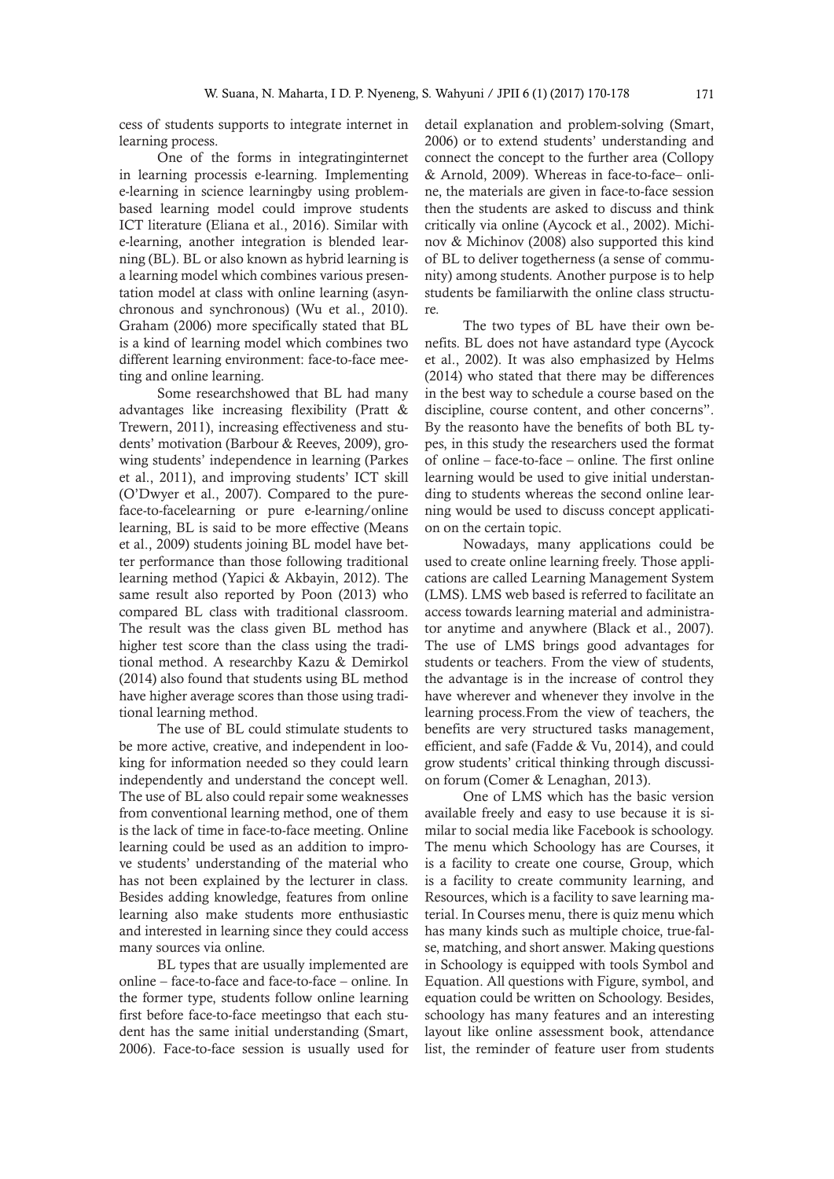cess of students supports to integrate internet in learning process.

One of the forms in integratinginternet in learning processis e-learning. Implementing e-learning in science learningby using problembased learning model could improve students ICT literature (Eliana et al., 2016). Similar with e-learning, another integration is blended learning (BL). BL or also known as hybrid learning is a learning model which combines various presentation model at class with online learning (asynchronous and synchronous) (Wu et al., 2010). Graham (2006) more specifically stated that BL is a kind of learning model which combines two different learning environment: face-to-face meeting and online learning.

Some researchshowed that BL had many advantages like increasing flexibility (Pratt & Trewern, 2011), increasing effectiveness and students' motivation (Barbour & Reeves, 2009), growing students' independence in learning (Parkes et al., 2011), and improving students' ICT skill (O'Dwyer et al., 2007). Compared to the pureface-to-facelearning or pure e-learning/online learning, BL is said to be more effective (Means et al., 2009) students joining BL model have better performance than those following traditional learning method (Yapici & Akbayin, 2012). The same result also reported by Poon (2013) who compared BL class with traditional classroom. The result was the class given BL method has higher test score than the class using the traditional method. A researchby Kazu & Demirkol (2014) also found that students using BL method have higher average scores than those using traditional learning method.

The use of BL could stimulate students to be more active, creative, and independent in looking for information needed so they could learn independently and understand the concept well. The use of BL also could repair some weaknesses from conventional learning method, one of them is the lack of time in face-to-face meeting. Online learning could be used as an addition to improve students' understanding of the material who has not been explained by the lecturer in class. Besides adding knowledge, features from online learning also make students more enthusiastic and interested in learning since they could access many sources via online.

BL types that are usually implemented are online – face-to-face and face-to-face – online. In the former type, students follow online learning first before face-to-face meetingso that each student has the same initial understanding (Smart, 2006). Face-to-face session is usually used for detail explanation and problem-solving (Smart, 2006) or to extend students' understanding and connect the concept to the further area (Collopy & Arnold, 2009). Whereas in face-to-face– online, the materials are given in face-to-face session then the students are asked to discuss and think critically via online (Aycock et al., 2002). Michinov & Michinov (2008) also supported this kind of BL to deliver togetherness (a sense of community) among students. Another purpose is to help students be familiarwith the online class structure.

The two types of BL have their own benefits. BL does not have astandard type (Aycock et al., 2002). It was also emphasized by Helms (2014) who stated that there may be differences in the best way to schedule a course based on the discipline, course content, and other concerns". By the reasonto have the benefits of both BL types, in this study the researchers used the format of online – face-to-face – online. The first online learning would be used to give initial understanding to students whereas the second online learning would be used to discuss concept application on the certain topic.

Nowadays, many applications could be used to create online learning freely. Those applications are called Learning Management System (LMS). LMS web based is referred to facilitate an access towards learning material and administrator anytime and anywhere (Black et al., 2007). The use of LMS brings good advantages for students or teachers. From the view of students, the advantage is in the increase of control they have wherever and whenever they involve in the learning process.From the view of teachers, the benefits are very structured tasks management, efficient, and safe (Fadde & Vu, 2014), and could grow students' critical thinking through discussion forum (Comer & Lenaghan, 2013).

One of LMS which has the basic version available freely and easy to use because it is similar to social media like Facebook is schoology. The menu which Schoology has are Courses, it is a facility to create one course, Group, which is a facility to create community learning, and Resources, which is a facility to save learning material. In Courses menu, there is quiz menu which has many kinds such as multiple choice, true-false, matching, and short answer. Making questions in Schoology is equipped with tools Symbol and Equation. All questions with Figure, symbol, and equation could be written on Schoology. Besides, schoology has many features and an interesting layout like online assessment book, attendance list, the reminder of feature user from students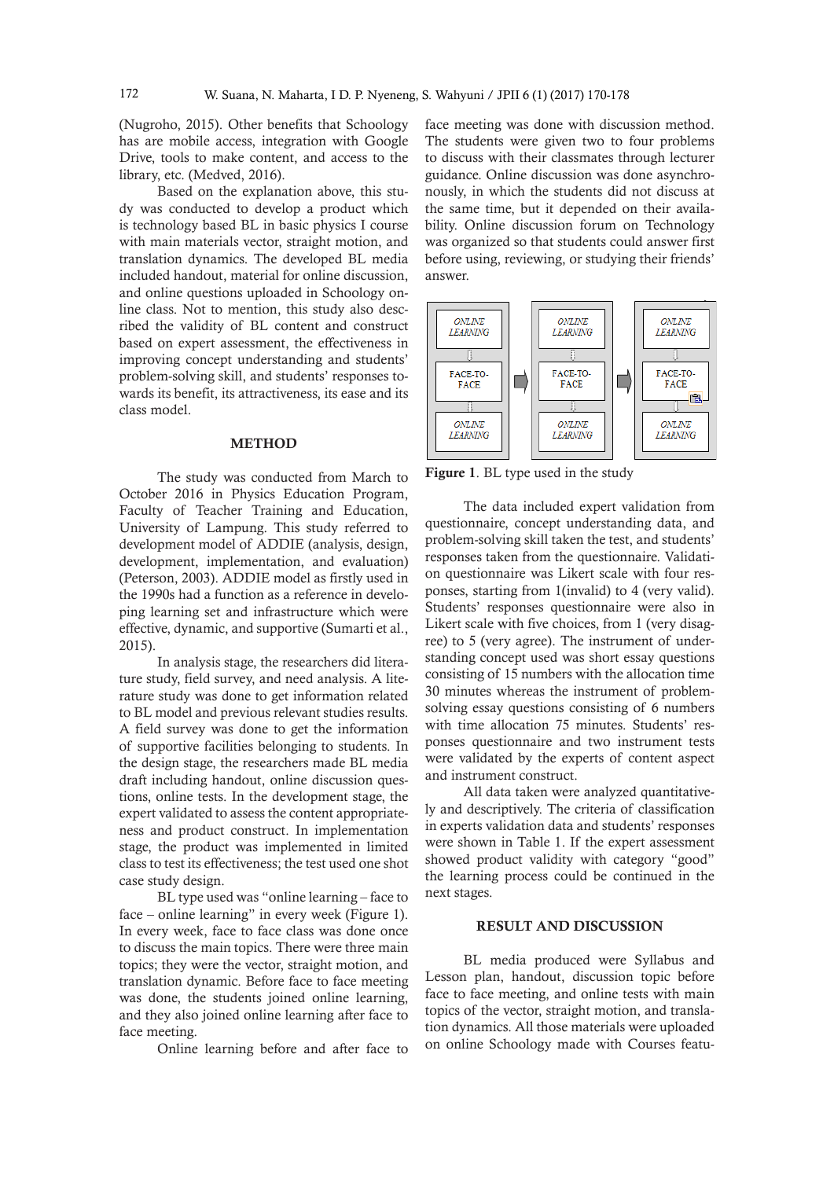(Nugroho, 2015). Other benefits that Schoology has are mobile access, integration with Google Drive, tools to make content, and access to the library, etc. (Medved, 2016).

Based on the explanation above, this study was conducted to develop a product which is technology based BL in basic physics I course with main materials vector, straight motion, and translation dynamics. The developed BL media included handout, material for online discussion, and online questions uploaded in Schoology online class. Not to mention, this study also described the validity of BL content and construct based on expert assessment, the effectiveness in improving concept understanding and students' problem-solving skill, and students' responses towards its benefit, its attractiveness, its ease and its class model.

#### **METHOD**

The study was conducted from March to October 2016 in Physics Education Program, Faculty of Teacher Training and Education, University of Lampung. This study referred to development model of ADDIE (analysis, design, development, implementation, and evaluation) (Peterson, 2003). ADDIE model as firstly used in the 1990s had a function as a reference in developing learning set and infrastructure which were effective, dynamic, and supportive (Sumarti et al., 2015).

In analysis stage, the researchers did literature study, field survey, and need analysis. A literature study was done to get information related to BL model and previous relevant studies results. A field survey was done to get the information of supportive facilities belonging to students. In the design stage, the researchers made BL media draft including handout, online discussion questions, online tests. In the development stage, the expert validated to assess the content appropriateness and product construct. In implementation stage, the product was implemented in limited class to test its effectiveness; the test used one shot case study design.

BL type used was "online learning – face to face – online learning" in every week (Figure 1). In every week, face to face class was done once to discuss the main topics. There were three main topics; they were the vector, straight motion, and translation dynamic. Before face to face meeting was done, the students joined online learning, and they also joined online learning after face to face meeting.

Online learning before and after face to

face meeting was done with discussion method. The students were given two to four problems to discuss with their classmates through lecturer guidance. Online discussion was done asynchronously, in which the students did not discuss at the same time, but it depended on their availability. Online discussion forum on Technology was organized so that students could answer first before using, reviewing, or studying their friends' answer.



Figure 1. BL type used in the study

The data included expert validation from questionnaire, concept understanding data, and problem-solving skill taken the test, and students' responses taken from the questionnaire. Validation questionnaire was Likert scale with four responses, starting from 1(invalid) to 4 (very valid). Students' responses questionnaire were also in Likert scale with five choices, from 1 (very disagree) to 5 (very agree). The instrument of understanding concept used was short essay questions consisting of 15 numbers with the allocation time 30 minutes whereas the instrument of problemsolving essay questions consisting of 6 numbers with time allocation 75 minutes. Students' responses questionnaire and two instrument tests were validated by the experts of content aspect and instrument construct.

All data taken were analyzed quantitatively and descriptively. The criteria of classification in experts validation data and students' responses were shown in Table 1. If the expert assessment showed product validity with category "good" the learning process could be continued in the next stages.

# RESULT AND DISCUSSION

BL media produced were Syllabus and Lesson plan, handout, discussion topic before face to face meeting, and online tests with main topics of the vector, straight motion, and translation dynamics. All those materials were uploaded on online Schoology made with Courses featu-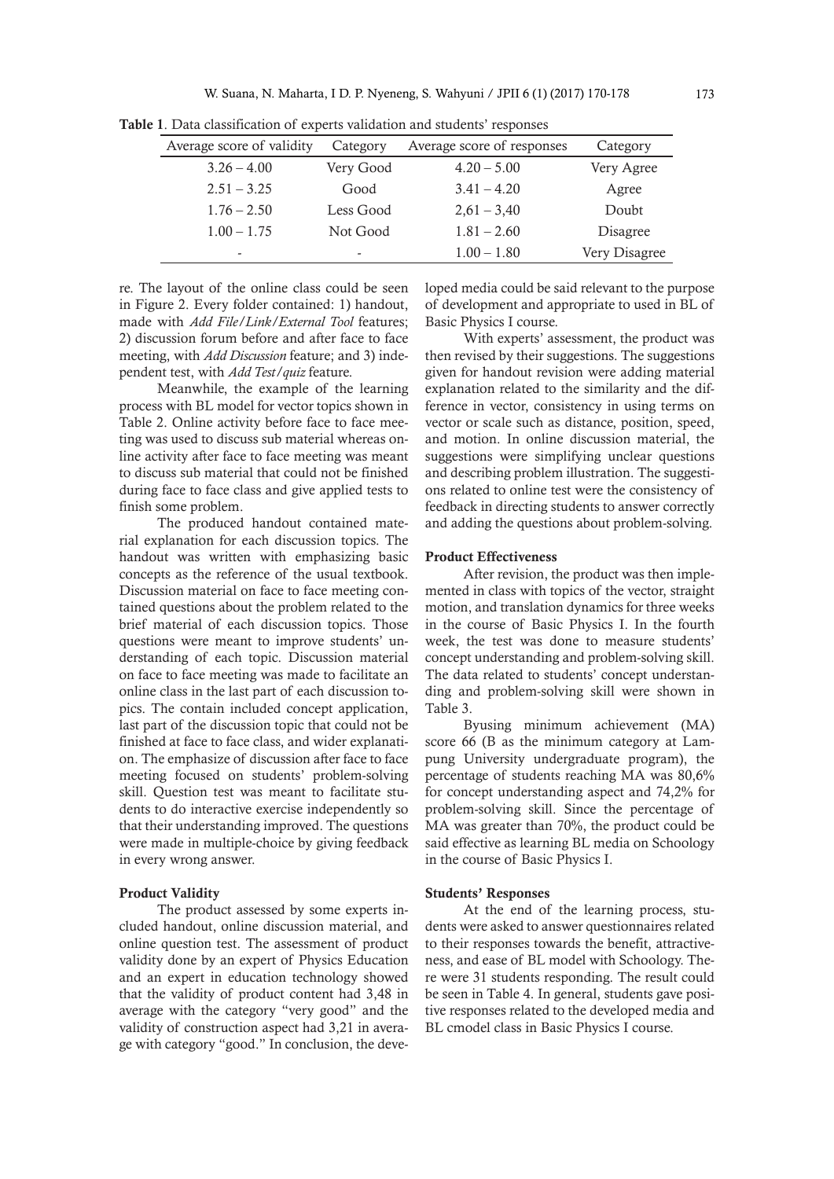| Average score of validity | Category  | Average score of responses | Category        |
|---------------------------|-----------|----------------------------|-----------------|
| $3.26 - 4.00$             | Very Good | $4.20 - 5.00$              | Very Agree      |
| $2.51 - 3.25$             | Good      | $3.41 - 4.20$              | Agree           |
| $1.76 - 2.50$             | Less Good | $2,61 - 3,40$              | Doubt           |
| $1.00 - 1.75$             | Not Good  | $1.81 - 2.60$              | <b>Disagree</b> |
| -                         | -         | $1.00 - 1.80$              | Very Disagree   |

Table 1. Data classification of experts validation and students' responses

re. The layout of the online class could be seen in Figure 2. Every folder contained: 1) handout, made with *Add File/Link/External Tool* features; 2) discussion forum before and after face to face meeting, with *Add Discussion* feature; and 3) independent test, with *Add Test/quiz* feature.

Meanwhile, the example of the learning process with BL model for vector topics shown in Table 2. Online activity before face to face meeting was used to discuss sub material whereas online activity after face to face meeting was meant to discuss sub material that could not be finished during face to face class and give applied tests to finish some problem.

The produced handout contained material explanation for each discussion topics. The handout was written with emphasizing basic concepts as the reference of the usual textbook. Discussion material on face to face meeting contained questions about the problem related to the brief material of each discussion topics. Those questions were meant to improve students' understanding of each topic. Discussion material on face to face meeting was made to facilitate an online class in the last part of each discussion topics. The contain included concept application, last part of the discussion topic that could not be finished at face to face class, and wider explanation. The emphasize of discussion after face to face meeting focused on students' problem-solving skill. Question test was meant to facilitate students to do interactive exercise independently so that their understanding improved. The questions were made in multiple-choice by giving feedback in every wrong answer.

### Product Validity

The product assessed by some experts included handout, online discussion material, and online question test. The assessment of product validity done by an expert of Physics Education and an expert in education technology showed that the validity of product content had 3,48 in average with the category "very good" and the validity of construction aspect had 3,21 in average with category "good." In conclusion, the developed media could be said relevant to the purpose of development and appropriate to used in BL of Basic Physics I course.

With experts' assessment, the product was then revised by their suggestions. The suggestions given for handout revision were adding material explanation related to the similarity and the difference in vector, consistency in using terms on vector or scale such as distance, position, speed, and motion. In online discussion material, the suggestions were simplifying unclear questions and describing problem illustration. The suggestions related to online test were the consistency of feedback in directing students to answer correctly and adding the questions about problem-solving.

#### Product Effectiveness

After revision, the product was then implemented in class with topics of the vector, straight motion, and translation dynamics for three weeks in the course of Basic Physics I. In the fourth week, the test was done to measure students' concept understanding and problem-solving skill. The data related to students' concept understanding and problem-solving skill were shown in Table 3.

Byusing minimum achievement (MA) score 66 (B as the minimum category at Lampung University undergraduate program), the percentage of students reaching MA was 80,6% for concept understanding aspect and 74,2% for problem-solving skill. Since the percentage of MA was greater than 70%, the product could be said effective as learning BL media on Schoology in the course of Basic Physics I.

#### Students' Responses

At the end of the learning process, students were asked to answer questionnaires related to their responses towards the benefit, attractiveness, and ease of BL model with Schoology. There were 31 students responding. The result could be seen in Table 4. In general, students gave positive responses related to the developed media and BL cmodel class in Basic Physics I course.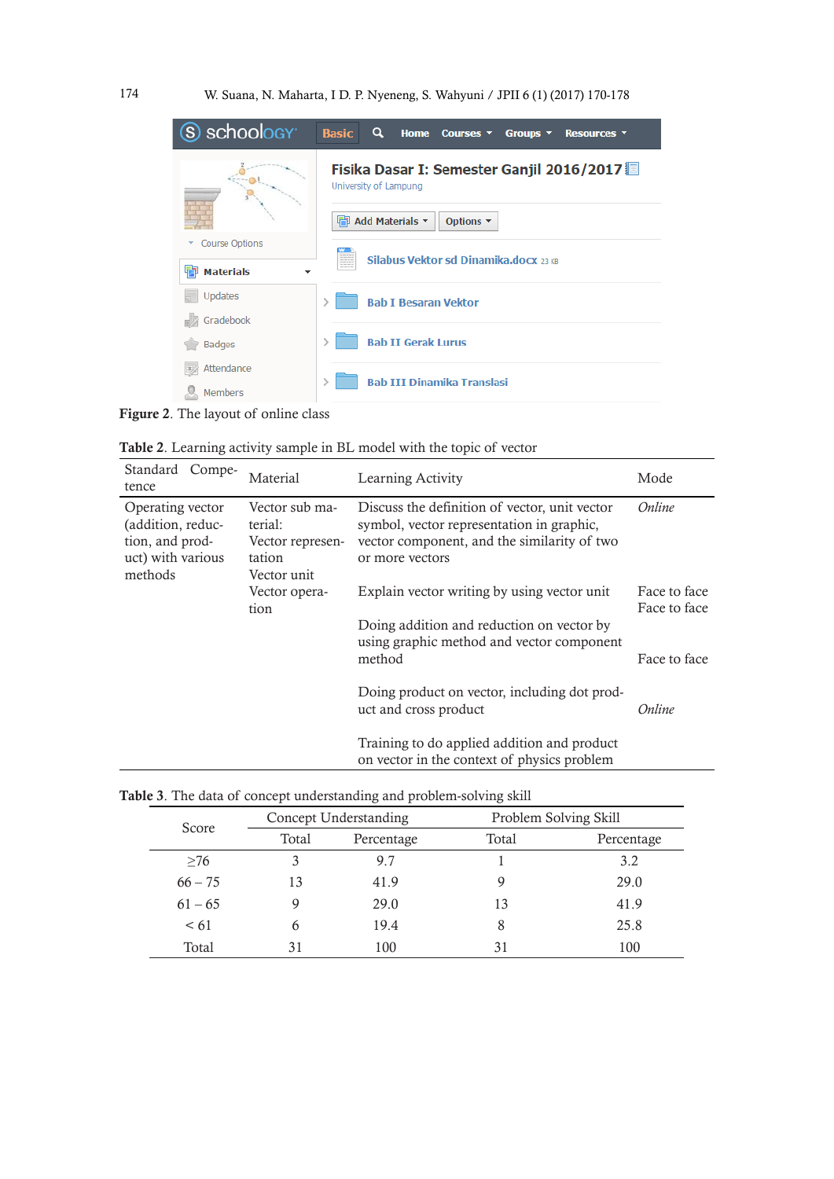

Figure 2. The layout of online class

| Table 2. Learning activity sample in BL model with the topic of vector |  |  |
|------------------------------------------------------------------------|--|--|
|------------------------------------------------------------------------|--|--|

| Standard Compe-<br>tence                                                                 | Material                                                               | Learning Activity                                                                                                                                            | Mode                         |
|------------------------------------------------------------------------------------------|------------------------------------------------------------------------|--------------------------------------------------------------------------------------------------------------------------------------------------------------|------------------------------|
| Operating vector<br>(addition, reduc-<br>tion, and prod-<br>uct) with various<br>methods | Vector sub ma-<br>terial:<br>Vector represen-<br>tation<br>Vector unit | Discuss the definition of vector, unit vector<br>symbol, vector representation in graphic,<br>vector component, and the similarity of two<br>or more vectors | Online                       |
|                                                                                          | Vector opera-<br>tion                                                  | Explain vector writing by using vector unit                                                                                                                  | Face to face<br>Face to face |
|                                                                                          |                                                                        | Doing addition and reduction on vector by<br>using graphic method and vector component<br>method                                                             | Face to face                 |
|                                                                                          |                                                                        | Doing product on vector, including dot prod-<br>uct and cross product                                                                                        | Online                       |
|                                                                                          |                                                                        | Training to do applied addition and product<br>on vector in the context of physics problem                                                                   |                              |

|  | Table 3. The data of concept understanding and problem-solving skill |  |  |
|--|----------------------------------------------------------------------|--|--|
|  |                                                                      |  |  |

| Score     |       | Concept Understanding |       | Problem Solving Skill |  |
|-----------|-------|-----------------------|-------|-----------------------|--|
|           | Total | Percentage            | Total | Percentage            |  |
| $\geq 76$ |       | 9.7                   |       | 3.2                   |  |
| $66 - 75$ | 13    | 41.9                  |       | 29.0                  |  |
| $61 - 65$ |       | 29.0                  | 13    | 41.9                  |  |
| $\leq 61$ |       | 19.4                  |       | 25.8                  |  |
| Total     |       | 100                   | 31    | 100                   |  |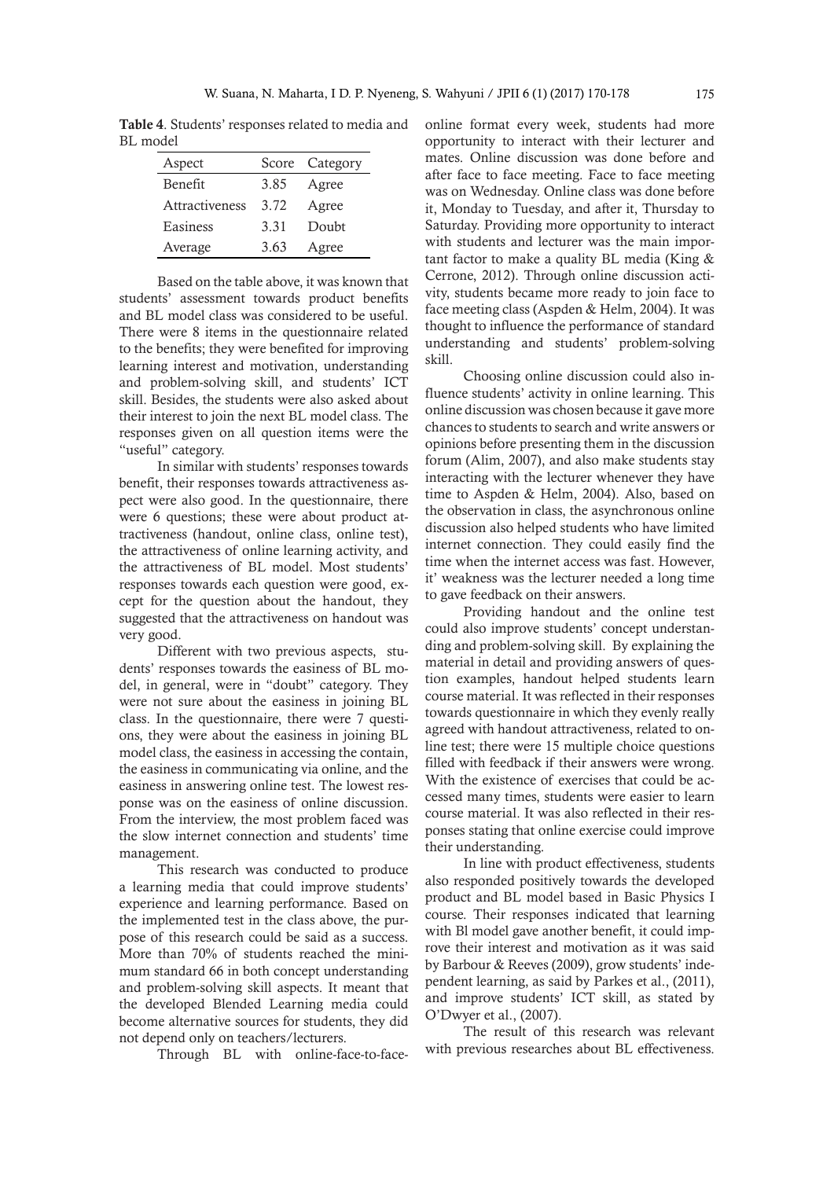Table 4. Students' responses related to media and BL model

| Aspect         |      | Score Category |
|----------------|------|----------------|
| Benefit        | 3.85 | Agree          |
| Attractiveness | 3.72 | Agree          |
| Easiness       | 3.31 | Doubt          |
| Average        | 3.63 | Agree          |

Based on the table above, it was known that students' assessment towards product benefits and BL model class was considered to be useful. There were 8 items in the questionnaire related to the benefits; they were benefited for improving learning interest and motivation, understanding and problem-solving skill, and students' ICT skill. Besides, the students were also asked about their interest to join the next BL model class. The responses given on all question items were the "useful" category.

In similar with students' responses towards benefit, their responses towards attractiveness aspect were also good. In the questionnaire, there were 6 questions; these were about product attractiveness (handout, online class, online test), the attractiveness of online learning activity, and the attractiveness of BL model. Most students' responses towards each question were good, except for the question about the handout, they suggested that the attractiveness on handout was very good.

Different with two previous aspects, students' responses towards the easiness of BL model, in general, were in "doubt" category. They were not sure about the easiness in joining BL class. In the questionnaire, there were 7 questions, they were about the easiness in joining BL model class, the easiness in accessing the contain, the easiness in communicating via online, and the easiness in answering online test. The lowest response was on the easiness of online discussion. From the interview, the most problem faced was the slow internet connection and students' time management.

This research was conducted to produce a learning media that could improve students' experience and learning performance. Based on the implemented test in the class above, the purpose of this research could be said as a success. More than 70% of students reached the minimum standard 66 in both concept understanding and problem-solving skill aspects. It meant that the developed Blended Learning media could become alternative sources for students, they did not depend only on teachers/lecturers.

Through BL with online-face-to-face-

online format every week, students had more opportunity to interact with their lecturer and mates. Online discussion was done before and after face to face meeting. Face to face meeting was on Wednesday. Online class was done before it, Monday to Tuesday, and after it, Thursday to Saturday. Providing more opportunity to interact with students and lecturer was the main important factor to make a quality BL media (King & Cerrone, 2012). Through online discussion activity, students became more ready to join face to face meeting class (Aspden & Helm, 2004). It was thought to influence the performance of standard understanding and students' problem-solving skill.

Choosing online discussion could also influence students' activity in online learning. This online discussion was chosen because it gave more chances to students to search and write answers or opinions before presenting them in the discussion forum (Alim, 2007), and also make students stay interacting with the lecturer whenever they have time to Aspden & Helm, 2004). Also, based on the observation in class, the asynchronous online discussion also helped students who have limited internet connection. They could easily find the time when the internet access was fast. However, it' weakness was the lecturer needed a long time to gave feedback on their answers.

Providing handout and the online test could also improve students' concept understanding and problem-solving skill. By explaining the material in detail and providing answers of question examples, handout helped students learn course material. It was reflected in their responses towards questionnaire in which they evenly really agreed with handout attractiveness, related to online test; there were 15 multiple choice questions filled with feedback if their answers were wrong. With the existence of exercises that could be accessed many times, students were easier to learn course material. It was also reflected in their responses stating that online exercise could improve their understanding.

In line with product effectiveness, students also responded positively towards the developed product and BL model based in Basic Physics I course. Their responses indicated that learning with Bl model gave another benefit, it could improve their interest and motivation as it was said by Barbour & Reeves (2009), grow students' independent learning, as said by Parkes et al., (2011), and improve students' ICT skill, as stated by O'Dwyer et al., (2007).

The result of this research was relevant with previous researches about BL effectiveness.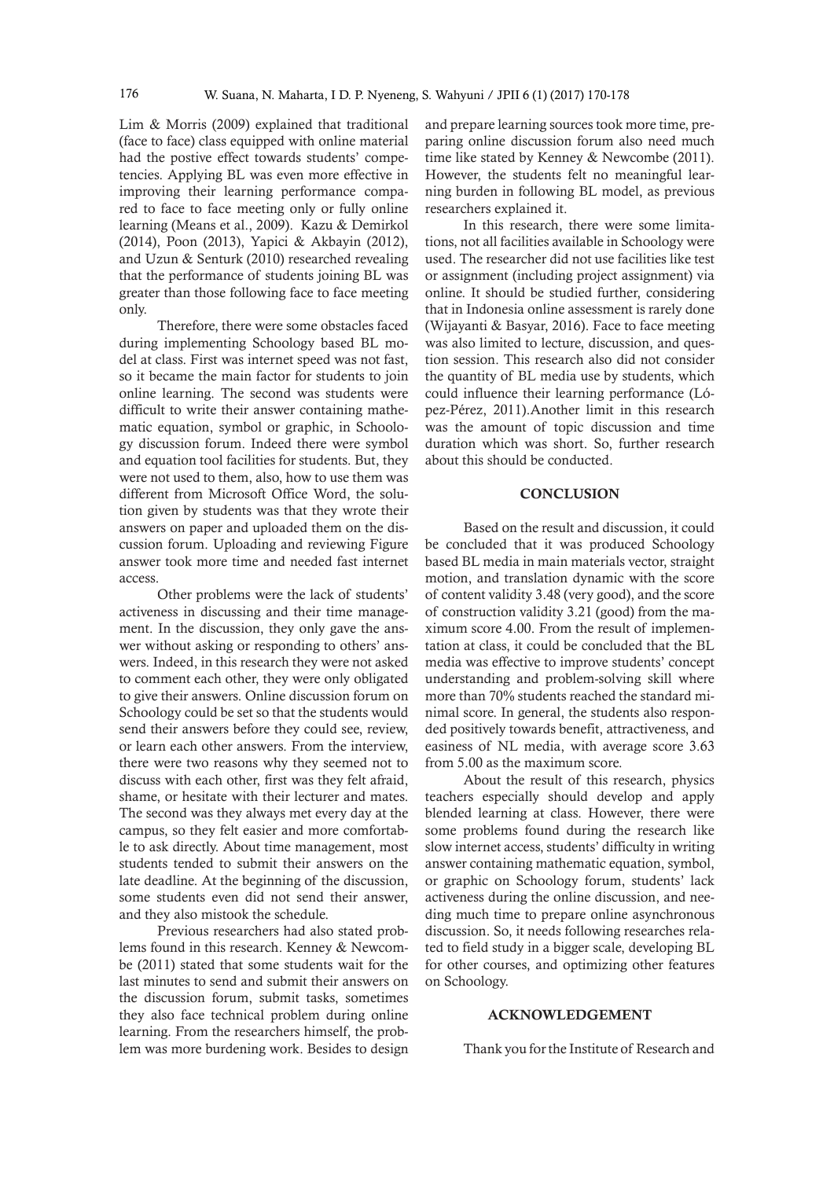Lim & Morris (2009) explained that traditional (face to face) class equipped with online material had the postive effect towards students' competencies. Applying BL was even more effective in improving their learning performance compared to face to face meeting only or fully online learning (Means et al., 2009). Kazu & Demirkol (2014), Poon (2013), Yapici & Akbayin (2012), and Uzun & Senturk (2010) researched revealing that the performance of students joining BL was greater than those following face to face meeting only.

Therefore, there were some obstacles faced during implementing Schoology based BL model at class. First was internet speed was not fast, so it became the main factor for students to join online learning. The second was students were difficult to write their answer containing mathematic equation, symbol or graphic, in Schoology discussion forum. Indeed there were symbol and equation tool facilities for students. But, they were not used to them, also, how to use them was different from Microsoft Office Word, the solution given by students was that they wrote their answers on paper and uploaded them on the discussion forum. Uploading and reviewing Figure answer took more time and needed fast internet access.

Other problems were the lack of students' activeness in discussing and their time management. In the discussion, they only gave the answer without asking or responding to others' answers. Indeed, in this research they were not asked to comment each other, they were only obligated to give their answers. Online discussion forum on Schoology could be set so that the students would send their answers before they could see, review, or learn each other answers. From the interview, there were two reasons why they seemed not to discuss with each other, first was they felt afraid, shame, or hesitate with their lecturer and mates. The second was they always met every day at the campus, so they felt easier and more comfortable to ask directly. About time management, most students tended to submit their answers on the late deadline. At the beginning of the discussion, some students even did not send their answer, and they also mistook the schedule.

Previous researchers had also stated problems found in this research. Kenney & Newcombe (2011) stated that some students wait for the last minutes to send and submit their answers on the discussion forum, submit tasks, sometimes they also face technical problem during online learning. From the researchers himself, the problem was more burdening work. Besides to design and prepare learning sources took more time, preparing online discussion forum also need much time like stated by Kenney & Newcombe (2011). However, the students felt no meaningful learning burden in following BL model, as previous researchers explained it.

In this research, there were some limitations, not all facilities available in Schoology were used. The researcher did not use facilities like test or assignment (including project assignment) via online. It should be studied further, considering that in Indonesia online assessment is rarely done (Wijayanti & Basyar, 2016). Face to face meeting was also limited to lecture, discussion, and question session. This research also did not consider the quantity of BL media use by students, which could influence their learning performance (López-Pérez, 2011).Another limit in this research was the amount of topic discussion and time duration which was short. So, further research about this should be conducted.

## **CONCLUSION**

Based on the result and discussion, it could be concluded that it was produced Schoology based BL media in main materials vector, straight motion, and translation dynamic with the score of content validity 3.48 (very good), and the score of construction validity 3.21 (good) from the maximum score 4.00. From the result of implementation at class, it could be concluded that the BL media was effective to improve students' concept understanding and problem-solving skill where more than 70% students reached the standard minimal score. In general, the students also responded positively towards benefit, attractiveness, and easiness of NL media, with average score 3.63 from 5.00 as the maximum score.

About the result of this research, physics teachers especially should develop and apply blended learning at class. However, there were some problems found during the research like slow internet access, students' difficulty in writing answer containing mathematic equation, symbol, or graphic on Schoology forum, students' lack activeness during the online discussion, and needing much time to prepare online asynchronous discussion. So, it needs following researches related to field study in a bigger scale, developing BL for other courses, and optimizing other features on Schoology.

## ACKNOWLEDGEMENT

Thank you for the Institute of Research and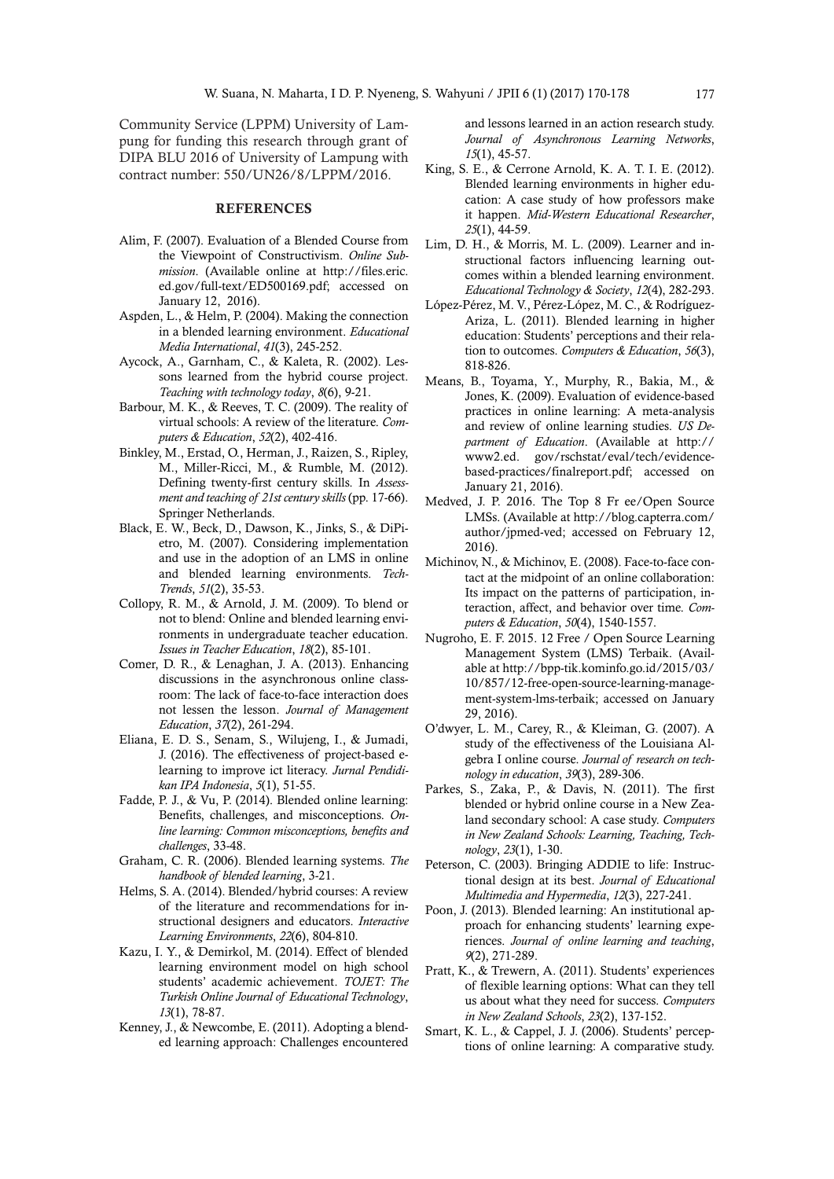Community Service (LPPM) University of Lampung for funding this research through grant of DIPA BLU 2016 of University of Lampung with contract number: 550/UN26/8/LPPM/2016.

## **REFERENCES**

- Alim, F. (2007). Evaluation of a Blended Course from the Viewpoint of Constructivism. *Online Submission*. (Available online at http://files.eric. ed.gov/full-text/ED500169.pdf; accessed on January 12, 2016).
- Aspden, L., & Helm, P. (2004). Making the connection in a blended learning environment. *Educational Media International*, *41*(3), 245-252.
- Aycock, A., Garnham, C., & Kaleta, R. (2002). Lessons learned from the hybrid course project. *Teaching with technology today*, *8*(6), 9-21.
- Barbour, M. K., & Reeves, T. C. (2009). The reality of virtual schools: A review of the literature. *Computers & Education*, *52*(2), 402-416.
- Binkley, M., Erstad, O., Herman, J., Raizen, S., Ripley, M., Miller-Ricci, M., & Rumble, M. (2012). Defining twenty-first century skills. In *Assessment and teaching of 21st century skills* (pp. 17-66). Springer Netherlands.
- Black, E. W., Beck, D., Dawson, K., Jinks, S., & DiPietro, M. (2007). Considering implementation and use in the adoption of an LMS in online and blended learning environments. *Tech-Trends*, *51*(2), 35-53.
- Collopy, R. M., & Arnold, J. M. (2009). To blend or not to blend: Online and blended learning environments in undergraduate teacher education. *Issues in Teacher Education*, *18*(2), 85-101.
- Comer, D. R., & Lenaghan, J. A. (2013). Enhancing discussions in the asynchronous online classroom: The lack of face-to-face interaction does not lessen the lesson. *Journal of Management Education*, *37*(2), 261-294.
- Eliana, E. D. S., Senam, S., Wilujeng, I., & Jumadi, J. (2016). The effectiveness of project-based elearning to improve ict literacy. *Jurnal Pendidikan IPA Indonesia*, *5*(1), 51-55.
- Fadde, P. J., & Vu, P. (2014). Blended online learning: Benefits, challenges, and misconceptions. *Online learning: Common misconceptions, benefits and challenges*, 33-48.
- Graham, C. R. (2006). Blended learning systems. *The handbook of blended learning*, 3-21.
- Helms, S. A. (2014). Blended/hybrid courses: A review of the literature and recommendations for instructional designers and educators. *Interactive Learning Environments*, *22*(6), 804-810.
- Kazu, I. Y., & Demirkol, M. (2014). Effect of blended learning environment model on high school students' academic achievement. *TOJET: The Turkish Online Journal of Educational Technology*, *13*(1), 78-87.
- Kenney, J., & Newcombe, E. (2011). Adopting a blended learning approach: Challenges encountered

and lessons learned in an action research study. *Journal of Asynchronous Learning Networks*, *15*(1), 45-57.

- King, S. E., & Cerrone Arnold, K. A. T. I. E. (2012). Blended learning environments in higher education: A case study of how professors make it happen. *Mid-Western Educational Researcher*, *25*(1), 44-59.
- Lim, D. H., & Morris, M. L. (2009). Learner and instructional factors influencing learning outcomes within a blended learning environment. *Educational Technology & Society*, *12*(4), 282-293.
- López-Pérez, M. V., Pérez-López, M. C., & Rodríguez-Ariza, L. (2011). Blended learning in higher education: Students' perceptions and their relation to outcomes. *Computers & Education*, *56*(3), 818-826.
- Means, B., Toyama, Y., Murphy, R., Bakia, M., & Jones, K. (2009). Evaluation of evidence-based practices in online learning: A meta-analysis and review of online learning studies. *US Department of Education*. (Available at http:// www2.ed. gov/rschstat/eval/tech/evidencebased-practices/finalreport.pdf; accessed on January 21, 2016).
- Medved, J. P. 2016. The Top 8 Fr ee/Open Source LMSs. (Available at http://blog.capterra.com/ author/jpmed-ved; accessed on February 12, 2016).
- Michinov, N., & Michinov, E. (2008). Face-to-face contact at the midpoint of an online collaboration: Its impact on the patterns of participation, interaction, affect, and behavior over time. *Computers & Education*, *50*(4), 1540-1557.
- Nugroho, E. F. 2015. 12 Free / Open Source Learning Management System (LMS) Terbaik. (Available at http://bpp-tik.kominfo.go.id/2015/03/ 10/857/12-free-open-source-learning-management-system-lms-terbaik; accessed on January 29, 2016).
- O'dwyer, L. M., Carey, R., & Kleiman, G. (2007). A study of the effectiveness of the Louisiana Algebra I online course. *Journal of research on technology in education*, *39*(3), 289-306.
- Parkes, S., Zaka, P., & Davis, N. (2011). The first blended or hybrid online course in a New Zealand secondary school: A case study. *Computers in New Zealand Schools: Learning, Teaching, Technology*, *23*(1), 1-30.
- Peterson, C. (2003). Bringing ADDIE to life: Instructional design at its best. *Journal of Educational Multimedia and Hypermedia*, *12*(3), 227-241.
- Poon, J. (2013). Blended learning: An institutional approach for enhancing students' learning experiences. *Journal of online learning and teaching*, *9*(2), 271-289.
- Pratt, K., & Trewern, A. (2011). Students' experiences of flexible learning options: What can they tell us about what they need for success. *Computers in New Zealand Schools*, *23*(2), 137-152.
- Smart, K. L., & Cappel, J. J. (2006). Students' perceptions of online learning: A comparative study.